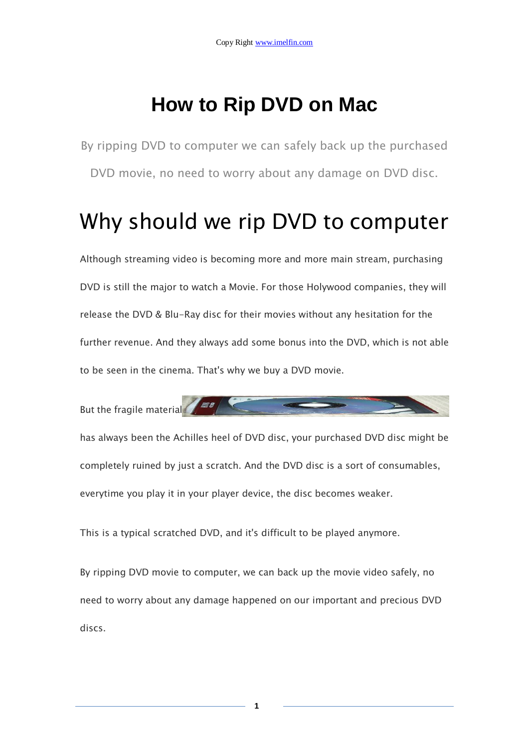# **How to Rip DVD on Mac**

By ripping DVD to computer we can safely back up the purchased DVD movie, no need to worry about any damage on DVD disc.

# Why should we rip DVD to computer

Although streaming video is becoming more and more main stream, purchasing DVD is still the major to watch a Movie. For those Holywood companies, they will release the DVD & Blu-Ray disc for their movies without any hesitation for the further revenue. And they always add some bonus into the DVD, which is not able to be seen in the cinema. That's why we buy a DVD movie.

But the fragile material

has always been the Achilles heel of DVD disc, your purchased DVD disc might be completely ruined by just a scratch. And the DVD disc is a sort of consumables, everytime you play it in your player device, the disc becomes weaker.

This is a typical scratched DVD, and it's difficult to be played anymore.

By ripping DVD movie to computer, we can back up the movie video safely, no need to worry about any damage happened on our important and precious DVD discs.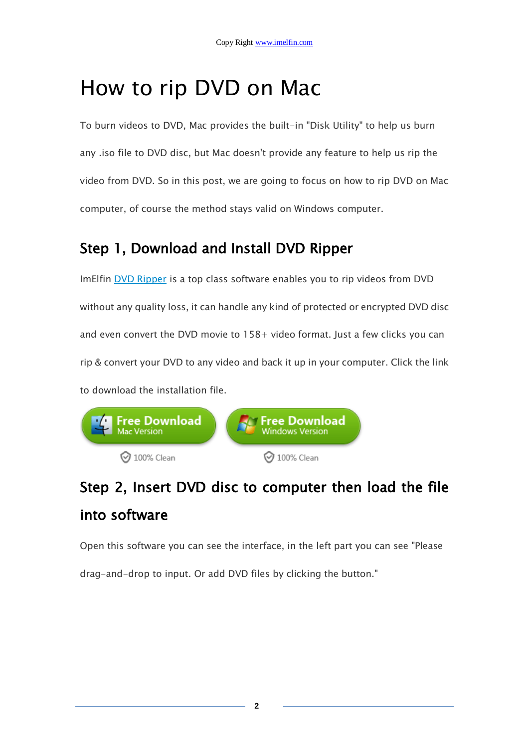# How to rip DVD on Mac

To burn videos to DVD, Mac provides the built-in "Disk Utility" to help us burn any .iso file to DVD disc, but Mac doesn't provide any feature to help us rip the video from DVD. So in this post, we are going to focus on how to rip DVD on Mac computer, of course the method stays valid on Windows computer.

## Step 1, Download and Install DVD Ripper

ImElfin [DVD Ripper](http://www.imelfin.com/mac-dvd-ripper.html) is a top class software enables you to rip videos from DVD without any quality loss, it can handle any kind of protected or encrypted DVD disc and even convert the DVD movie to 158+ video format. Just a few clicks you can rip & convert your DVD to any video and back it up in your computer. Click the link to download the installation file.



## Step 2, Insert DVD disc to computer then load the file into software

Open this software you can see the interface, in the left part you can see "Please

drag-and-drop to input. Or add DVD files by clicking the button."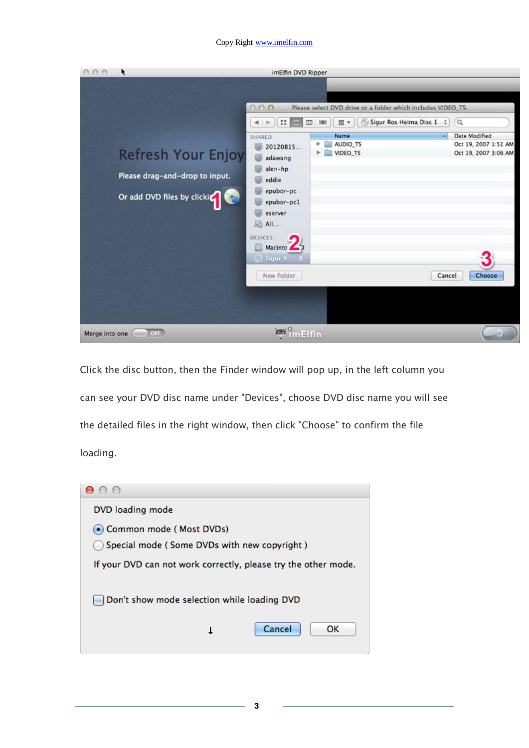#### Copy Right www.imelfin.com



Click the disc button, then the Finder window will pop up, in the left column you can see your DVD disc name under "Devices", choose DVD disc name you will see the detailed files in the right window, then click "Choose" to confirm the file loading.



**3**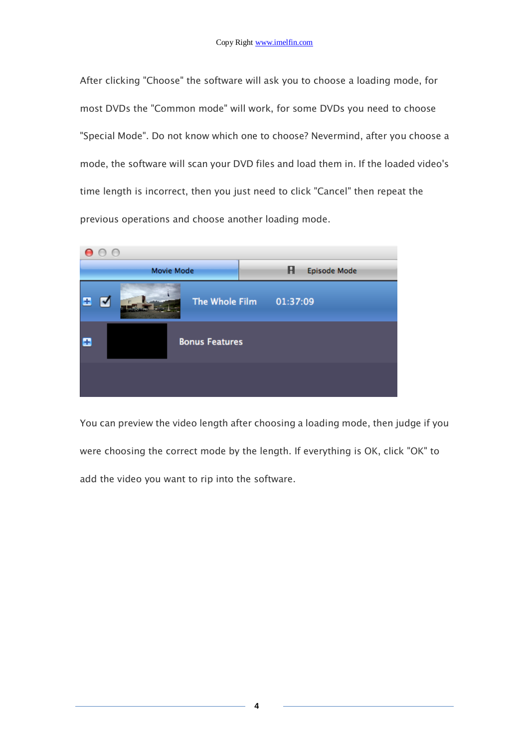After clicking "Choose" the software will ask you to choose a loading mode, for most DVDs the "Common mode" will work, for some DVDs you need to choose "Special Mode". Do not know which one to choose? Nevermind, after you choose a mode, the software will scan your DVD files and load them in. If the loaded video's time length is incorrect, then you just need to click "Cancel" then repeat the previous operations and choose another loading mode.



You can preview the video length after choosing a loading mode, then judge if you were choosing the correct mode by the length. If everything is OK, click "OK" to add the video you want to rip into the software.

**4**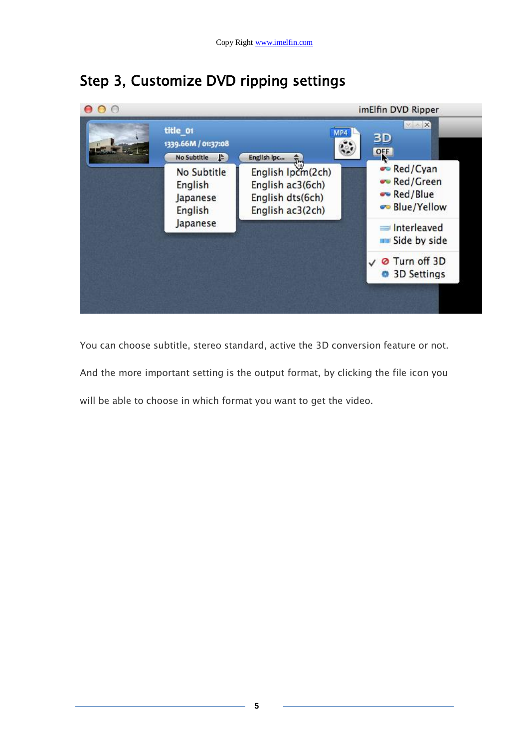

## Step 3, Customize DVD ripping settings

You can choose subtitle, stereo standard, active the 3D conversion feature or not. And the more important setting is the output format, by clicking the file icon you will be able to choose in which format you want to get the video.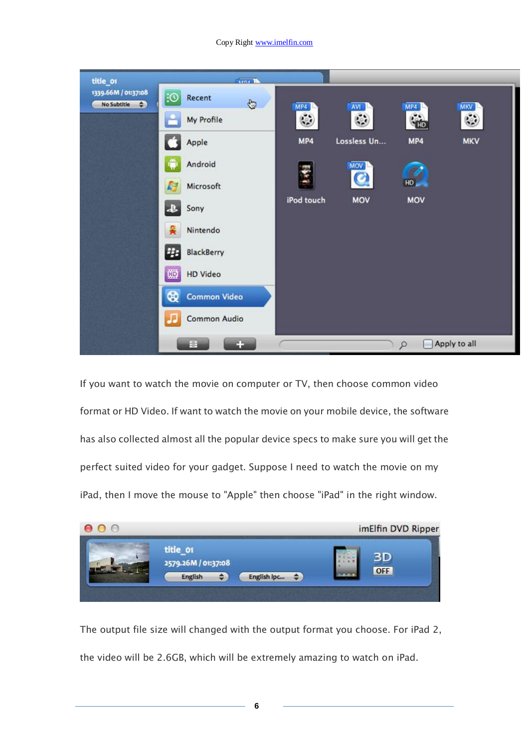### Copy Right www.imelfin.com

| title_or                                          | <b>Cost IX</b>                    |            |             |            |              |
|---------------------------------------------------|-----------------------------------|------------|-------------|------------|--------------|
| 1339.66M / 01:37:08<br>No Subtitle<br>$\bigoplus$ | :⊙<br>Recent<br>$\oplus$          | MP4        | <b>NA</b>   | MP4        | <b>MKV</b>   |
|                                                   | My Profile                        | ۷          | ٥           | <b>Gib</b> | ٥            |
|                                                   | Apple                             | MP4        | Lossless Un | MP4        | <b>MKV</b>   |
|                                                   | Android                           |            | MOV         |            |              |
|                                                   | Microsoft                         | 1.852      | Q           | HD         |              |
|                                                   | Sony<br>æ                         | iPod touch | <b>MOV</b>  | <b>MOV</b> |              |
|                                                   | 흋<br>Nintendo                     |            |             |            |              |
|                                                   | PH.<br>BlackBerry                 |            |             |            |              |
|                                                   | 圖<br><b>HD</b> Video              |            |             |            |              |
|                                                   | $^{\circ}$<br><b>Common Video</b> |            |             |            |              |
|                                                   | Common Audio<br>л                 |            |             |            |              |
|                                                   | E<br>n                            |            |             | R          | Apply to all |

If you want to watch the movie on computer or TV, then choose common video format or HD Video. If want to watch the movie on your mobile device, the software has also collected almost all the popular device specs to make sure you will get the perfect suited video for your gadget. Suppose I need to watch the movie on my iPad, then I move the mouse to "Apple" then choose "iPad" in the right window.



The output file size will changed with the output format you choose. For iPad 2, the video will be 2.6GB, which will be extremely amazing to watch on iPad.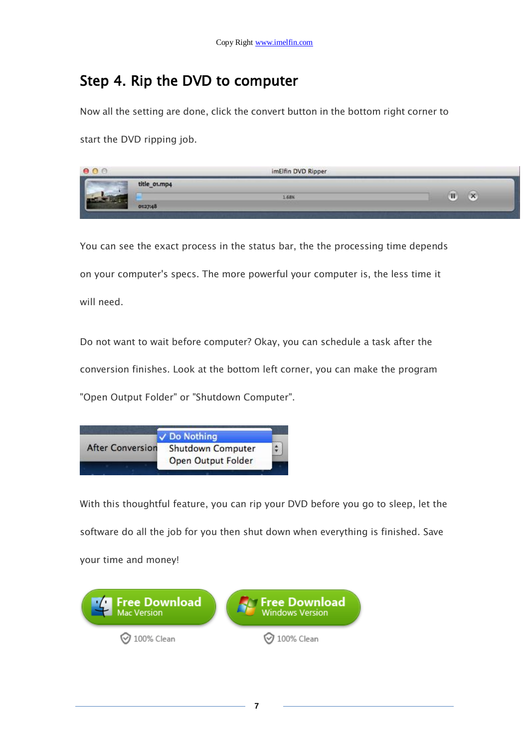### Step 4. Rip the DVD to computer

Now all the setting are done, click the convert button in the bottom right corner to

start the DVD ripping job.

|                 | imElfin DVD Ripper |  |
|-----------------|--------------------|--|
| title_oi.mp4    |                    |  |
| 68%<br>$-2748-$ |                    |  |

You can see the exact process in the status bar, the the processing time depends on your computer's specs. The more powerful your computer is, the less time it will need.

Do not want to wait before computer? Okay, you can schedule a task after the conversion finishes. Look at the bottom left corner, you can make the program "Open Output Folder" or "Shutdown Computer".

|                         | √ Do Nothing             |  |
|-------------------------|--------------------------|--|
| <b>After Conversion</b> | <b>Shutdown Computer</b> |  |
|                         | Open Output Folder       |  |

With this thoughtful feature, you can rip your DVD before you go to sleep, let the software do all the job for you then shut down when everything is finished. Save your time and money!

**7**